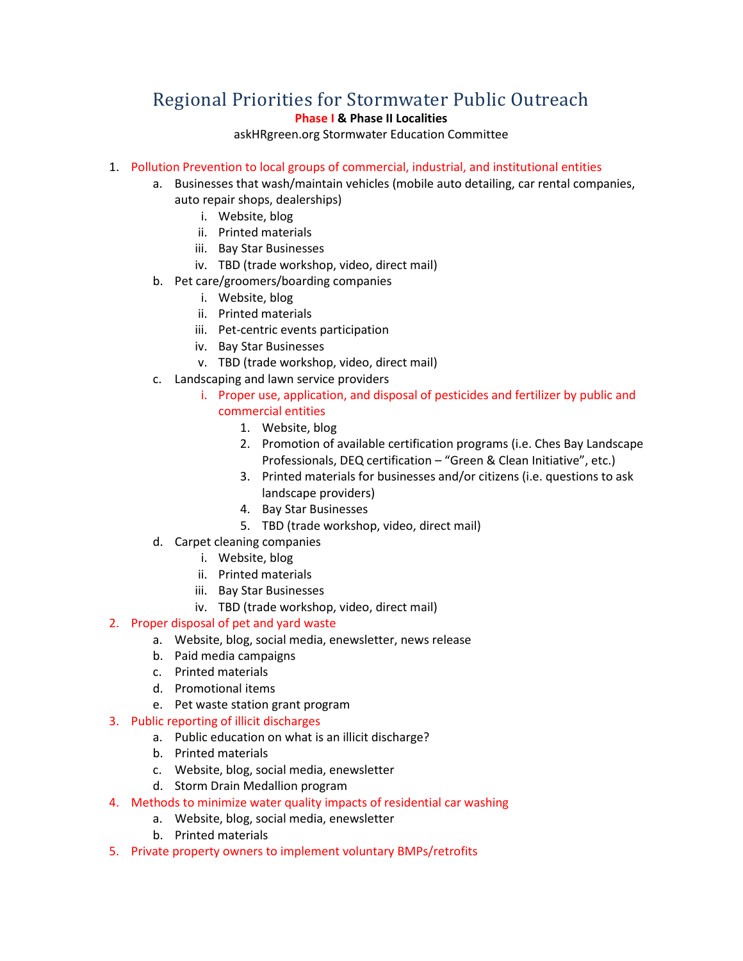# Regional Priorities for Stormwater Public Outreach

## **Phase I & Phase II Localities**

askHRgreen.org Stormwater Education Committee

### 1. Pollution Prevention to local groups of commercial, industrial, and institutional entities

- a. Businesses that wash/maintain vehicles (mobile auto detailing, car rental companies, auto repair shops, dealerships)
	- i. Website, blog
	- ii. Printed materials
	- iii. Bay Star Businesses
	- iv. TBD (trade workshop, video, direct mail)
- b. Pet care/groomers/boarding companies
	- i. Website, blog
	- ii. Printed materials
	- iii. Pet-centric events participation
	- iv. Bay Star Businesses
	- v. TBD (trade workshop, video, direct mail)
- c. Landscaping and lawn service providers
	- i. Proper use, application, and disposal of pesticides and fertilizer by public and commercial entities
		- 1. Website, blog
		- 2. Promotion of available certification programs (i.e. Ches Bay Landscape Professionals, DEQ certification – "Green & Clean Initiative", etc.)
		- 3. Printed materials for businesses and/or citizens (i.e. questions to ask landscape providers)
		- 4. Bay Star Businesses
		- 5. TBD (trade workshop, video, direct mail)
- d. Carpet cleaning companies
	- i. Website, blog
	- ii. Printed materials
	- iii. Bay Star Businesses
	- iv. TBD (trade workshop, video, direct mail)

## 2. Proper disposal of pet and yard waste

- a. Website, blog, social media, enewsletter, news release
- b. Paid media campaigns
- c. Printed materials
- d. Promotional items
- e. Pet waste station grant program

#### 3. Public reporting of illicit discharges

- a. Public education on what is an illicit discharge?
- b. Printed materials
- c. Website, blog, social media, enewsletter
- d. Storm Drain Medallion program
- 4. Methods to minimize water quality impacts of residential car washing
	- a. Website, blog, social media, enewsletter
	- b. Printed materials
- 5. Private property owners to implement voluntary BMPs/retrofits